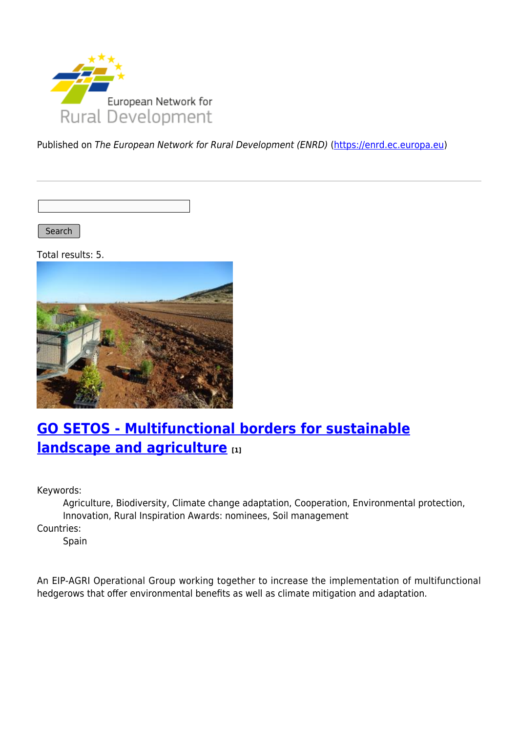

Published on The European Network for Rural Development (ENRD) [\(https://enrd.ec.europa.eu](https://enrd.ec.europa.eu))

Search |

Total results: 5.



## **[GO SETOS - Multifunctional borders for sustainable](https://enrd.ec.europa.eu/projects-practice/go-setos-multifunctional-borders-sustainable-landscape-and-agriculture_en) [landscape and agriculture](https://enrd.ec.europa.eu/projects-practice/go-setos-multifunctional-borders-sustainable-landscape-and-agriculture_en) [1]**

Keywords:

Agriculture, Biodiversity, Climate change adaptation, Cooperation, Environmental protection, Innovation, Rural Inspiration Awards: nominees, Soil management

Countries:

Spain

An EIP-AGRI Operational Group working together to increase the implementation of multifunctional hedgerows that offer environmental benefits as well as climate mitigation and adaptation.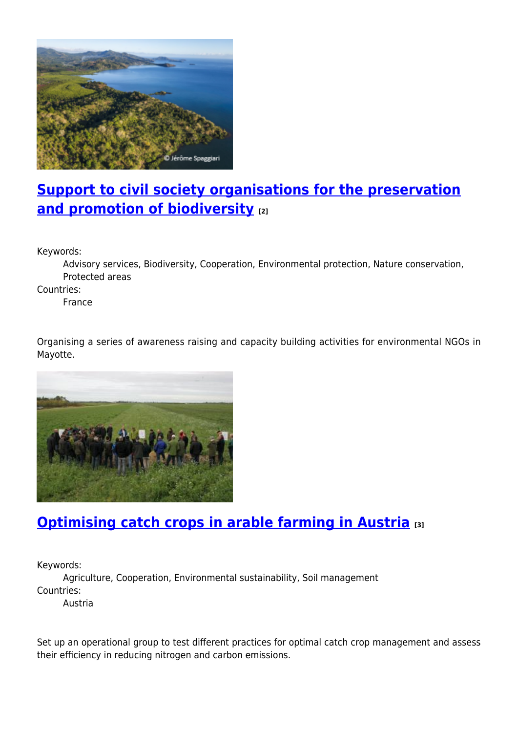

## **[Support to civil society organisations for the preservation](https://enrd.ec.europa.eu/projects-practice/support-civil-society-organisations-preservation-and-promotion-biodiversity_en) [and promotion of biodiversity](https://enrd.ec.europa.eu/projects-practice/support-civil-society-organisations-preservation-and-promotion-biodiversity_en) [2]**

Keywords:

Advisory services, Biodiversity, Cooperation, Environmental protection, Nature conservation, Protected areas

Countries:

France

Organising a series of awareness raising and capacity building activities for environmental NGOs in Mayotte.



## **[Optimising catch crops in arable farming in Austria](https://enrd.ec.europa.eu/projects-practice/optimising-catch-crops-arable-farming-austria_en) [3]**

Keywords: Agriculture, Cooperation, Environmental sustainability, Soil management Countries: Austria

Set up an operational group to test different practices for optimal catch crop management and assess their efficiency in reducing nitrogen and carbon emissions.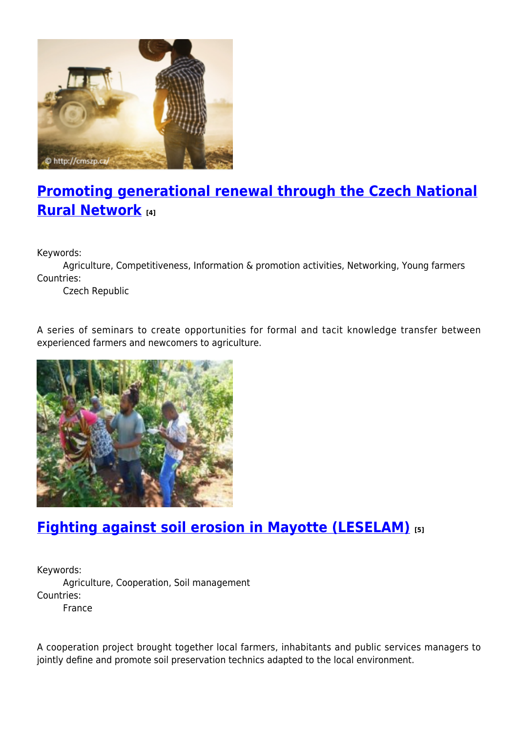

# **[Promoting generational renewal through the Czech National](https://enrd.ec.europa.eu/projects-practice/promoting-generational-renewal-through-czech-national-rural-network_en) [Rural Network](https://enrd.ec.europa.eu/projects-practice/promoting-generational-renewal-through-czech-national-rural-network_en) [4]**

Keywords:

Agriculture, Competitiveness, Information & promotion activities, Networking, Young farmers Countries:

Czech Republic

A series of seminars to create opportunities for formal and tacit knowledge transfer between experienced farmers and newcomers to agriculture.



## **[Fighting against soil erosion in Mayotte \(LESELAM\)](https://enrd.ec.europa.eu/projects-practice/fighting-against-soil-erosion-mayotte-leselam_en) [5]**

Keywords: Agriculture, Cooperation, Soil management Countries: France

A cooperation project brought together local farmers, inhabitants and public services managers to jointly define and promote soil preservation technics adapted to the local environment.